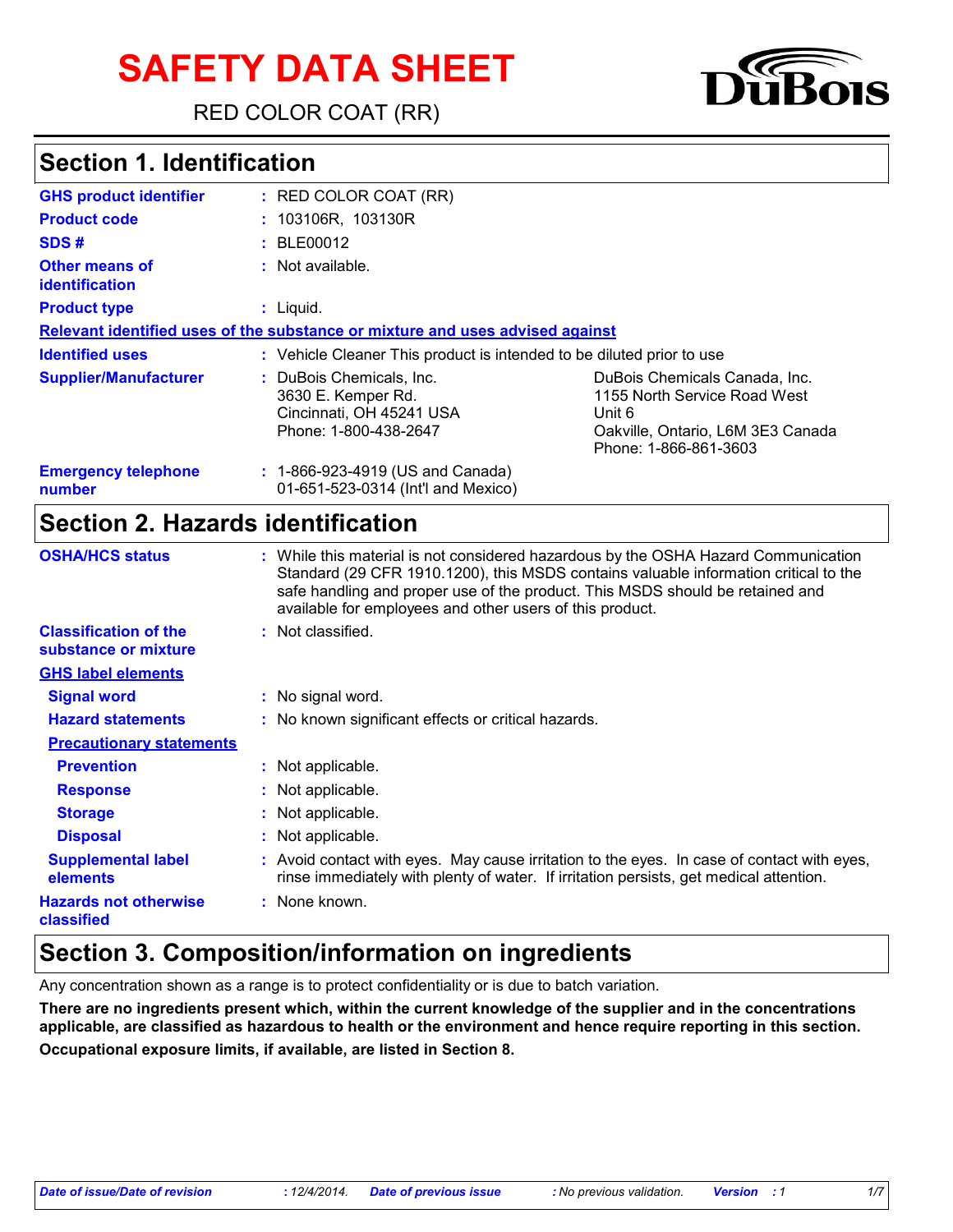# **SAFETY DATA SHEET**

RED COLOR COAT (RR)

# **Section 1. Identification**

| <b>GHS product identifier</b>           | $:$ RED COLOR COAT (RR)                                                                             |                                                                                                                                       |
|-----------------------------------------|-----------------------------------------------------------------------------------------------------|---------------------------------------------------------------------------------------------------------------------------------------|
| <b>Product code</b>                     | : 103106R, 103130R                                                                                  |                                                                                                                                       |
| SDS#                                    | : BLE00012                                                                                          |                                                                                                                                       |
| Other means of<br><b>identification</b> | $:$ Not available.                                                                                  |                                                                                                                                       |
| <b>Product type</b>                     | $:$ Liquid.                                                                                         |                                                                                                                                       |
|                                         | Relevant identified uses of the substance or mixture and uses advised against                       |                                                                                                                                       |
| <b>Identified uses</b>                  | : Vehicle Cleaner This product is intended to be diluted prior to use                               |                                                                                                                                       |
| <b>Supplier/Manufacturer</b>            | : DuBois Chemicals, Inc.<br>3630 E. Kemper Rd.<br>Cincinnati, OH 45241 USA<br>Phone: 1-800-438-2647 | DuBois Chemicals Canada, Inc.<br>1155 North Service Road West<br>Unit 6<br>Oakville, Ontario, L6M 3E3 Canada<br>Phone: 1-866-861-3603 |
| <b>Emergency telephone</b><br>number    | : 1-866-923-4919 (US and Canada)<br>01-651-523-0314 (Int'l and Mexico)                              |                                                                                                                                       |

#### **Section 2. Hazards identification**

| <b>OSHA/HCS status</b>                               | : While this material is not considered hazardous by the OSHA Hazard Communication<br>Standard (29 CFR 1910.1200), this MSDS contains valuable information critical to the<br>safe handling and proper use of the product. This MSDS should be retained and<br>available for employees and other users of this product. |
|------------------------------------------------------|-------------------------------------------------------------------------------------------------------------------------------------------------------------------------------------------------------------------------------------------------------------------------------------------------------------------------|
| <b>Classification of the</b><br>substance or mixture | : Not classified.                                                                                                                                                                                                                                                                                                       |
| <b>GHS label elements</b>                            |                                                                                                                                                                                                                                                                                                                         |
| <b>Signal word</b>                                   | : No signal word.                                                                                                                                                                                                                                                                                                       |
| <b>Hazard statements</b>                             | : No known significant effects or critical hazards.                                                                                                                                                                                                                                                                     |
| <b>Precautionary statements</b>                      |                                                                                                                                                                                                                                                                                                                         |
| <b>Prevention</b>                                    | : Not applicable.                                                                                                                                                                                                                                                                                                       |
| <b>Response</b>                                      | : Not applicable.                                                                                                                                                                                                                                                                                                       |
| <b>Storage</b>                                       | : Not applicable.                                                                                                                                                                                                                                                                                                       |
| <b>Disposal</b>                                      | : Not applicable.                                                                                                                                                                                                                                                                                                       |
| <b>Supplemental label</b><br>elements                | : Avoid contact with eyes. May cause irritation to the eyes. In case of contact with eyes,<br>rinse immediately with plenty of water. If irritation persists, get medical attention.                                                                                                                                    |
| <b>Hazards not otherwise</b><br>classified           | : None known.                                                                                                                                                                                                                                                                                                           |

### **Section 3. Composition/information on ingredients**

Any concentration shown as a range is to protect confidentiality or is due to batch variation.

**There are no ingredients present which, within the current knowledge of the supplier and in the concentrations applicable, are classified as hazardous to health or the environment and hence require reporting in this section. Occupational exposure limits, if available, are listed in Section 8.**

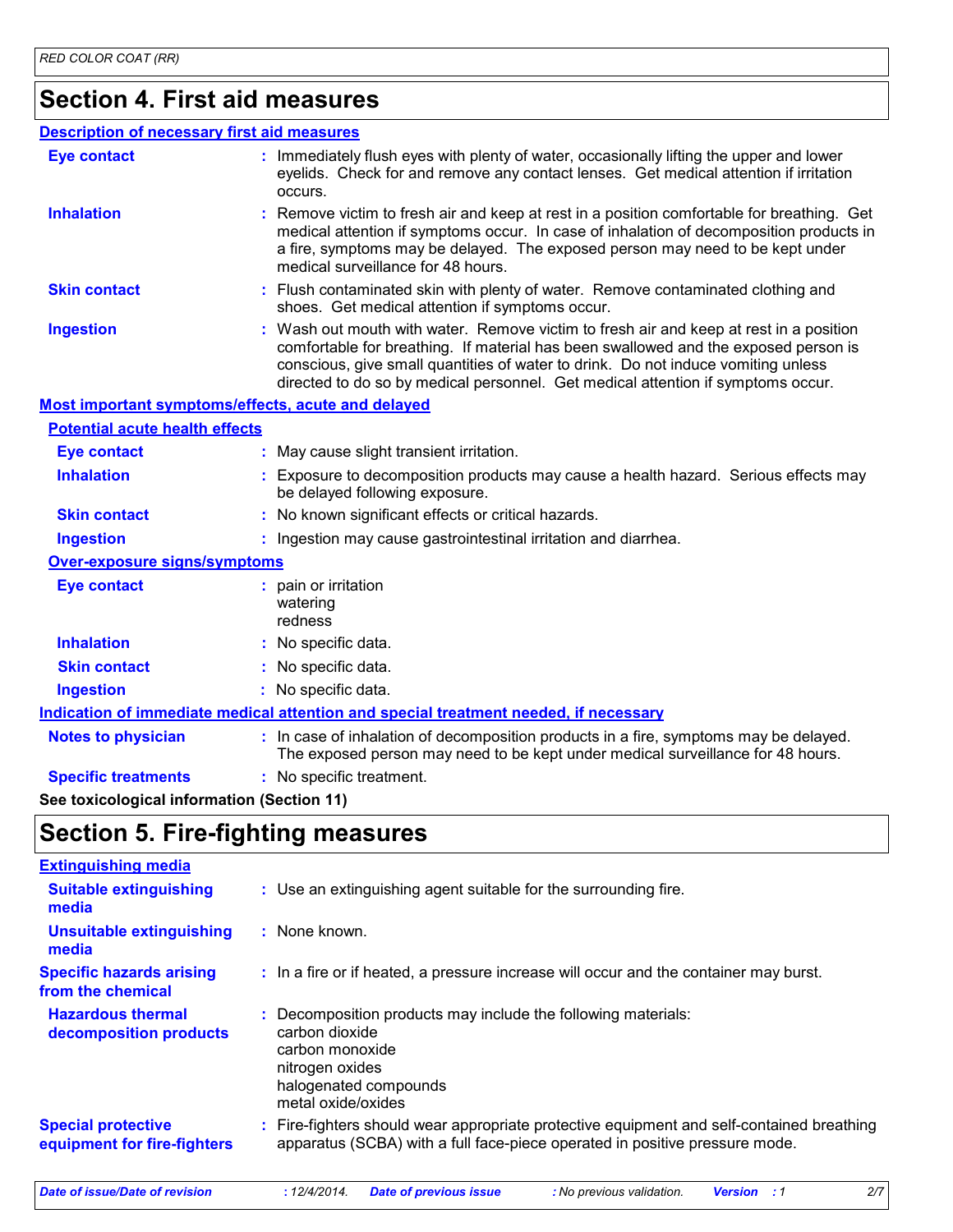### **Section 4. First aid measures**

#### **Description of necessary first aid measures**

| <b>Eye contact</b>                                 | : Immediately flush eyes with plenty of water, occasionally lifting the upper and lower<br>eyelids. Check for and remove any contact lenses. Get medical attention if irritation<br>occurs.                                                                                                                                                            |
|----------------------------------------------------|--------------------------------------------------------------------------------------------------------------------------------------------------------------------------------------------------------------------------------------------------------------------------------------------------------------------------------------------------------|
| <b>Inhalation</b>                                  | : Remove victim to fresh air and keep at rest in a position comfortable for breathing. Get<br>medical attention if symptoms occur. In case of inhalation of decomposition products in<br>a fire, symptoms may be delayed. The exposed person may need to be kept under<br>medical surveillance for 48 hours.                                           |
| <b>Skin contact</b>                                | : Flush contaminated skin with plenty of water. Remove contaminated clothing and<br>shoes. Get medical attention if symptoms occur.                                                                                                                                                                                                                    |
| <b>Ingestion</b>                                   | : Wash out mouth with water. Remove victim to fresh air and keep at rest in a position<br>comfortable for breathing. If material has been swallowed and the exposed person is<br>conscious, give small quantities of water to drink. Do not induce vomiting unless<br>directed to do so by medical personnel. Get medical attention if symptoms occur. |
| Most important symptoms/effects, acute and delayed |                                                                                                                                                                                                                                                                                                                                                        |
| <b>Potential acute health effects</b>              |                                                                                                                                                                                                                                                                                                                                                        |
| <b>Eye contact</b>                                 | : May cause slight transient irritation.                                                                                                                                                                                                                                                                                                               |
| <b>Inhalation</b>                                  | : Exposure to decomposition products may cause a health hazard. Serious effects may<br>be delayed following exposure.                                                                                                                                                                                                                                  |
| <b>Skin contact</b>                                | : No known significant effects or critical hazards.                                                                                                                                                                                                                                                                                                    |
| <b>Ingestion</b>                                   | : Ingestion may cause gastrointestinal irritation and diarrhea.                                                                                                                                                                                                                                                                                        |
| Over-exposure signs/symptoms                       |                                                                                                                                                                                                                                                                                                                                                        |
| <b>Eye contact</b>                                 | : pain or irritation<br>watering<br>redness                                                                                                                                                                                                                                                                                                            |
| <b>Inhalation</b>                                  | : No specific data.                                                                                                                                                                                                                                                                                                                                    |
| <b>Skin contact</b>                                | : No specific data.                                                                                                                                                                                                                                                                                                                                    |
| <b>Ingestion</b>                                   | : No specific data.                                                                                                                                                                                                                                                                                                                                    |
|                                                    | Indication of immediate medical attention and special treatment needed, if necessary                                                                                                                                                                                                                                                                   |
| <b>Notes to physician</b>                          | : In case of inhalation of decomposition products in a fire, symptoms may be delayed.<br>The exposed person may need to be kept under medical surveillance for 48 hours.                                                                                                                                                                               |
| <b>Specific treatments</b>                         | : No specific treatment.                                                                                                                                                                                                                                                                                                                               |

**See toxicological information (Section 11)**

### **Section 5. Fire-fighting measures**

| <b>Extinguishing media</b>                               |                                                                                                                                                                        |
|----------------------------------------------------------|------------------------------------------------------------------------------------------------------------------------------------------------------------------------|
| <b>Suitable extinguishing</b><br>media                   | : Use an extinguishing agent suitable for the surrounding fire.                                                                                                        |
| <b>Unsuitable extinguishing</b><br>media                 | : None known.                                                                                                                                                          |
| <b>Specific hazards arising</b><br>from the chemical     | : In a fire or if heated, a pressure increase will occur and the container may burst.                                                                                  |
| <b>Hazardous thermal</b><br>decomposition products       | Decomposition products may include the following materials:<br>carbon dioxide<br>carbon monoxide<br>nitrogen oxides<br>halogenated compounds<br>metal oxide/oxides     |
| <b>Special protective</b><br>equipment for fire-fighters | Fire-fighters should wear appropriate protective equipment and self-contained breathing<br>apparatus (SCBA) with a full face-piece operated in positive pressure mode. |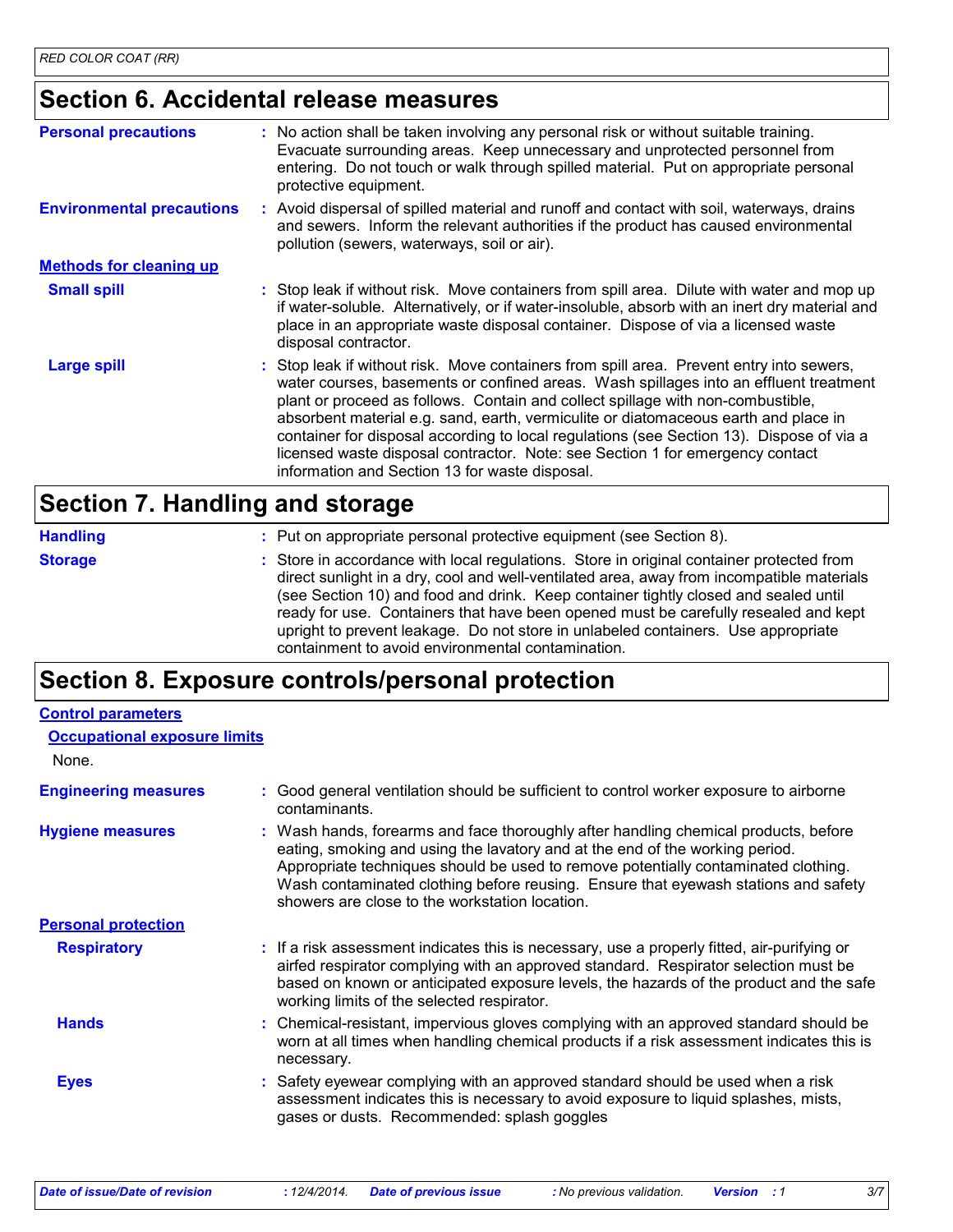### **Section 6. Accidental release measures**

| <b>Personal precautions</b>      | : No action shall be taken involving any personal risk or without suitable training.<br>Evacuate surrounding areas. Keep unnecessary and unprotected personnel from<br>entering. Do not touch or walk through spilled material. Put on appropriate personal<br>protective equipment.                                                                                                                                                                                                                                                                                                       |
|----------------------------------|--------------------------------------------------------------------------------------------------------------------------------------------------------------------------------------------------------------------------------------------------------------------------------------------------------------------------------------------------------------------------------------------------------------------------------------------------------------------------------------------------------------------------------------------------------------------------------------------|
| <b>Environmental precautions</b> | : Avoid dispersal of spilled material and runoff and contact with soil, waterways, drains<br>and sewers. Inform the relevant authorities if the product has caused environmental<br>pollution (sewers, waterways, soil or air).                                                                                                                                                                                                                                                                                                                                                            |
| <b>Methods for cleaning up</b>   |                                                                                                                                                                                                                                                                                                                                                                                                                                                                                                                                                                                            |
| <b>Small spill</b>               | : Stop leak if without risk. Move containers from spill area. Dilute with water and mop up<br>if water-soluble. Alternatively, or if water-insoluble, absorb with an inert dry material and<br>place in an appropriate waste disposal container. Dispose of via a licensed waste<br>disposal contractor.                                                                                                                                                                                                                                                                                   |
| <b>Large spill</b>               | : Stop leak if without risk. Move containers from spill area. Prevent entry into sewers,<br>water courses, basements or confined areas. Wash spillages into an effluent treatment<br>plant or proceed as follows. Contain and collect spillage with non-combustible,<br>absorbent material e.g. sand, earth, vermiculite or diatomaceous earth and place in<br>container for disposal according to local regulations (see Section 13). Dispose of via a<br>licensed waste disposal contractor. Note: see Section 1 for emergency contact<br>information and Section 13 for waste disposal. |

#### **Section 7. Handling and storage**

| <b>Handling</b> | : Put on appropriate personal protective equipment (see Section 8).                                                                                                                                                                                                                                                                                                                                                                                                                                           |
|-----------------|---------------------------------------------------------------------------------------------------------------------------------------------------------------------------------------------------------------------------------------------------------------------------------------------------------------------------------------------------------------------------------------------------------------------------------------------------------------------------------------------------------------|
| <b>Storage</b>  | : Store in accordance with local regulations. Store in original container protected from<br>direct sunlight in a dry, cool and well-ventilated area, away from incompatible materials<br>(see Section 10) and food and drink. Keep container tightly closed and sealed until<br>ready for use. Containers that have been opened must be carefully resealed and kept<br>upright to prevent leakage. Do not store in unlabeled containers. Use appropriate<br>containment to avoid environmental contamination. |

### **Section 8. Exposure controls/personal protection**

| <b>Control parameters</b>           |                                                                                                                                                                                                                                                                                                                                                                                                   |
|-------------------------------------|---------------------------------------------------------------------------------------------------------------------------------------------------------------------------------------------------------------------------------------------------------------------------------------------------------------------------------------------------------------------------------------------------|
| <b>Occupational exposure limits</b> |                                                                                                                                                                                                                                                                                                                                                                                                   |
| None.                               |                                                                                                                                                                                                                                                                                                                                                                                                   |
| <b>Engineering measures</b>         | Good general ventilation should be sufficient to control worker exposure to airborne<br>contaminants.                                                                                                                                                                                                                                                                                             |
| <b>Hygiene measures</b>             | : Wash hands, forearms and face thoroughly after handling chemical products, before<br>eating, smoking and using the lavatory and at the end of the working period.<br>Appropriate techniques should be used to remove potentially contaminated clothing.<br>Wash contaminated clothing before reusing. Ensure that eyewash stations and safety<br>showers are close to the workstation location. |
| <b>Personal protection</b>          |                                                                                                                                                                                                                                                                                                                                                                                                   |
| <b>Respiratory</b>                  | : If a risk assessment indicates this is necessary, use a properly fitted, air-purifying or<br>airfed respirator complying with an approved standard. Respirator selection must be<br>based on known or anticipated exposure levels, the hazards of the product and the safe<br>working limits of the selected respirator.                                                                        |
| <b>Hands</b>                        | : Chemical-resistant, impervious gloves complying with an approved standard should be<br>worn at all times when handling chemical products if a risk assessment indicates this is<br>necessary.                                                                                                                                                                                                   |
| <b>Eyes</b>                         | : Safety eyewear complying with an approved standard should be used when a risk<br>assessment indicates this is necessary to avoid exposure to liquid splashes, mists,<br>gases or dusts. Recommended: splash goggles                                                                                                                                                                             |
|                                     |                                                                                                                                                                                                                                                                                                                                                                                                   |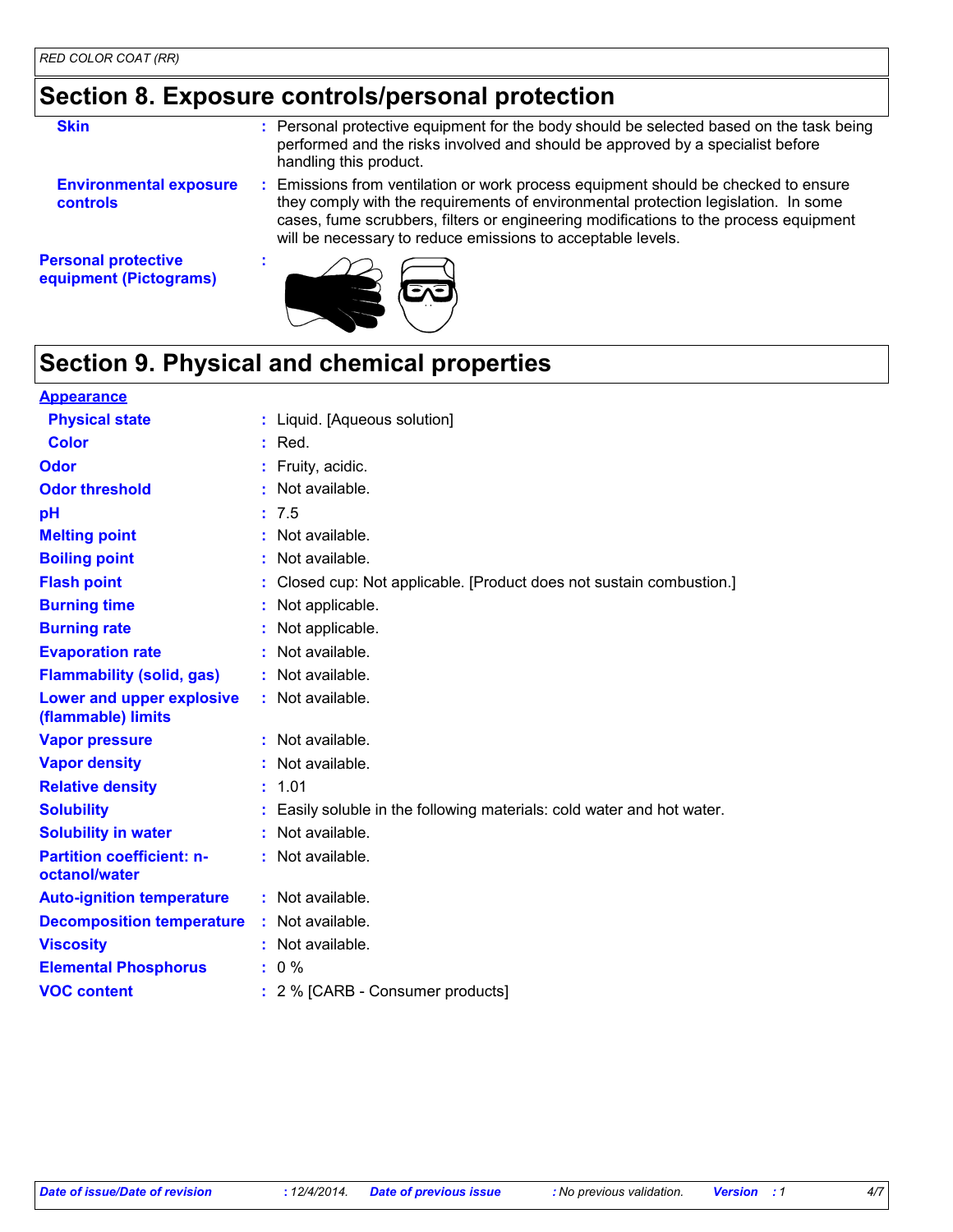### **Section 8. Exposure controls/personal protection**

| <b>Skin</b>                                      | : Personal protective equipment for the body should be selected based on the task being<br>performed and the risks involved and should be approved by a specialist before<br>handling this product.                                                                                                                           |
|--------------------------------------------------|-------------------------------------------------------------------------------------------------------------------------------------------------------------------------------------------------------------------------------------------------------------------------------------------------------------------------------|
| <b>Environmental exposure</b><br><b>controls</b> | Emissions from ventilation or work process equipment should be checked to ensure<br>they comply with the requirements of environmental protection legislation. In some<br>cases, fume scrubbers, filters or engineering modifications to the process equipment<br>will be necessary to reduce emissions to acceptable levels. |
| <b>Personal protective</b>                       |                                                                                                                                                                                                                                                                                                                               |

**equipment (Pictograms)**



## **Section 9. Physical and chemical properties**

| <b>Appearance</b>                                 |                                                                      |
|---------------------------------------------------|----------------------------------------------------------------------|
| <b>Physical state</b>                             | : Liquid. [Aqueous solution]                                         |
| Color                                             | $:$ Red.                                                             |
| <b>Odor</b>                                       | Fruity, acidic.                                                      |
| <b>Odor threshold</b>                             | Not available.                                                       |
| pH                                                | 7.5                                                                  |
| <b>Melting point</b>                              | Not available.                                                       |
| <b>Boiling point</b>                              | Not available.                                                       |
| <b>Flash point</b>                                | Closed cup: Not applicable. [Product does not sustain combustion.]   |
| <b>Burning time</b>                               | Not applicable.                                                      |
| <b>Burning rate</b>                               | Not applicable.                                                      |
| <b>Evaporation rate</b>                           | Not available.                                                       |
| <b>Flammability (solid, gas)</b>                  | Not available.                                                       |
| Lower and upper explosive<br>(flammable) limits   | Not available.                                                       |
| <b>Vapor pressure</b>                             | : Not available.                                                     |
| <b>Vapor density</b>                              | Not available.                                                       |
| <b>Relative density</b>                           | 1.01                                                                 |
| <b>Solubility</b>                                 | Easily soluble in the following materials: cold water and hot water. |
| <b>Solubility in water</b>                        | Not available.                                                       |
| <b>Partition coefficient: n-</b><br>octanol/water | Not available.                                                       |
| <b>Auto-ignition temperature</b>                  | : Not available.                                                     |
| <b>Decomposition temperature</b>                  | Not available.                                                       |
| <b>Viscosity</b>                                  | Not available.                                                       |
| <b>Elemental Phosphorus</b>                       | $: 0 \%$                                                             |
| <b>VOC content</b>                                | : 2 % [CARB - Consumer products]                                     |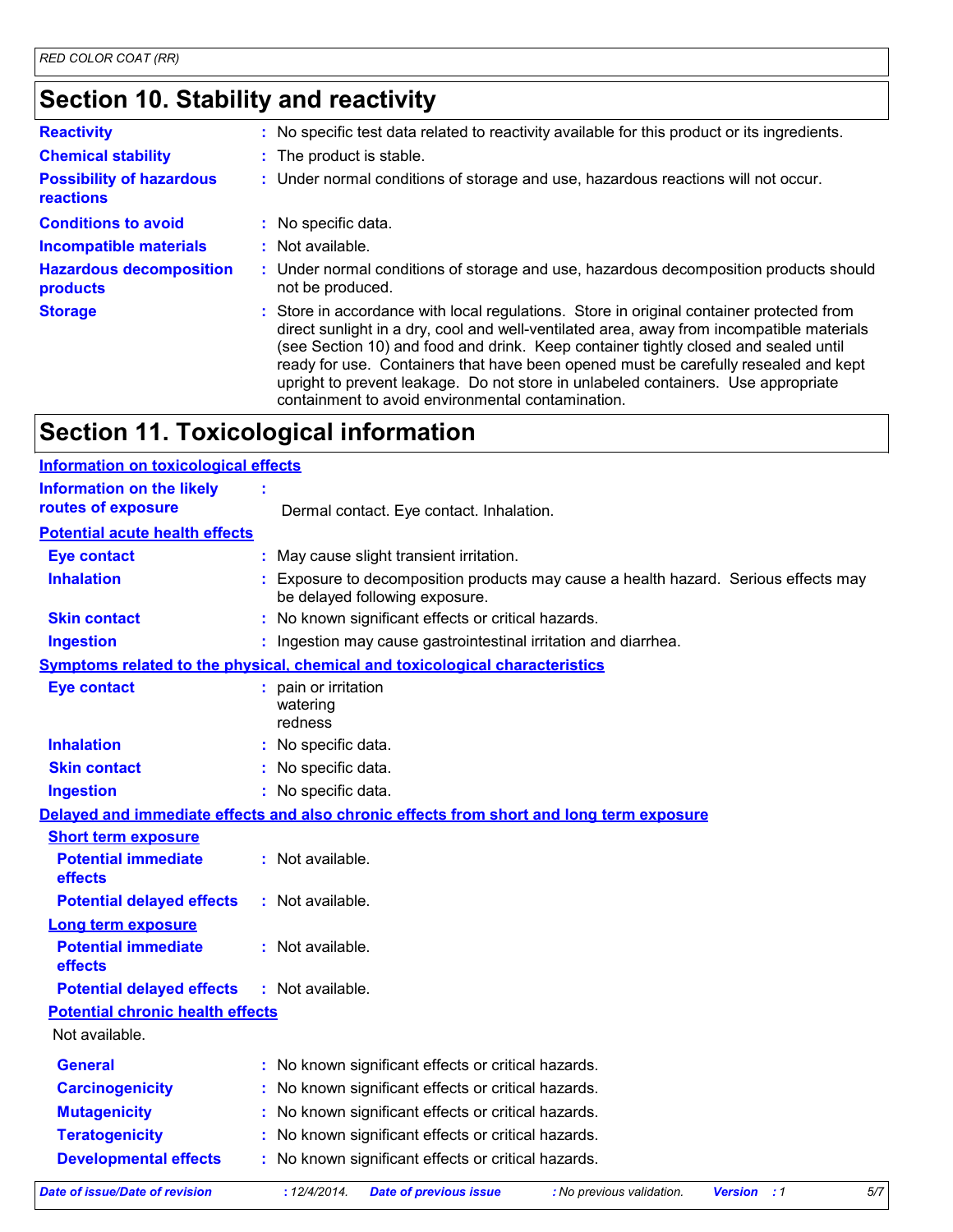# **Section 10. Stability and reactivity**

| <b>Reactivity</b>                            | : No specific test data related to reactivity available for this product or its ingredients.                                                                                                                                                                                                                                                                                                                                                                                                                  |
|----------------------------------------------|---------------------------------------------------------------------------------------------------------------------------------------------------------------------------------------------------------------------------------------------------------------------------------------------------------------------------------------------------------------------------------------------------------------------------------------------------------------------------------------------------------------|
| <b>Chemical stability</b>                    | : The product is stable.                                                                                                                                                                                                                                                                                                                                                                                                                                                                                      |
| <b>Possibility of hazardous</b><br>reactions | : Under normal conditions of storage and use, hazardous reactions will not occur.                                                                                                                                                                                                                                                                                                                                                                                                                             |
| <b>Conditions to avoid</b>                   | : No specific data.                                                                                                                                                                                                                                                                                                                                                                                                                                                                                           |
| <b>Incompatible materials</b>                | $:$ Not available.                                                                                                                                                                                                                                                                                                                                                                                                                                                                                            |
| <b>Hazardous decomposition</b><br>products   | : Under normal conditions of storage and use, hazardous decomposition products should<br>not be produced.                                                                                                                                                                                                                                                                                                                                                                                                     |
| <b>Storage</b>                               | : Store in accordance with local regulations. Store in original container protected from<br>direct sunlight in a dry, cool and well-ventilated area, away from incompatible materials<br>(see Section 10) and food and drink. Keep container tightly closed and sealed until<br>ready for use. Containers that have been opened must be carefully resealed and kept<br>upright to prevent leakage. Do not store in unlabeled containers. Use appropriate<br>containment to avoid environmental contamination. |

# **Section 11. Toxicological information**

| <b>Information on toxicological effects</b> |                                                                                                                     |
|---------------------------------------------|---------------------------------------------------------------------------------------------------------------------|
| <b>Information on the likely</b>            |                                                                                                                     |
| routes of exposure                          | Dermal contact. Eye contact. Inhalation.                                                                            |
| <b>Potential acute health effects</b>       |                                                                                                                     |
| <b>Eye contact</b>                          | May cause slight transient irritation.                                                                              |
| <b>Inhalation</b>                           | Exposure to decomposition products may cause a health hazard. Serious effects may<br>be delayed following exposure. |
| <b>Skin contact</b>                         | No known significant effects or critical hazards.                                                                   |
| <b>Ingestion</b>                            | : Ingestion may cause gastrointestinal irritation and diarrhea.                                                     |
|                                             | Symptoms related to the physical, chemical and toxicological characteristics                                        |
| <b>Eye contact</b>                          | pain or irritation<br>watering<br>redness                                                                           |
| <b>Inhalation</b>                           | : No specific data.                                                                                                 |
| <b>Skin contact</b>                         | No specific data.                                                                                                   |
| <b>Ingestion</b>                            | : No specific data.                                                                                                 |
|                                             | Delayed and immediate effects and also chronic effects from short and long term exposure                            |
| <b>Short term exposure</b>                  |                                                                                                                     |
| <b>Potential immediate</b><br>effects       | : Not available.                                                                                                    |
| <b>Potential delayed effects</b>            | : Not available.                                                                                                    |
| <b>Long term exposure</b>                   |                                                                                                                     |
| <b>Potential immediate</b><br>effects       | : Not available.                                                                                                    |
| <b>Potential delayed effects</b>            | : Not available.                                                                                                    |
| <b>Potential chronic health effects</b>     |                                                                                                                     |
| Not available.                              |                                                                                                                     |
| <b>General</b>                              | : No known significant effects or critical hazards.                                                                 |
| <b>Carcinogenicity</b>                      | No known significant effects or critical hazards.                                                                   |
| <b>Mutagenicity</b>                         | No known significant effects or critical hazards.                                                                   |
| <b>Teratogenicity</b>                       | No known significant effects or critical hazards.                                                                   |
| <b>Developmental effects</b>                | No known significant effects or critical hazards.                                                                   |
|                                             | .                                                                                                                   |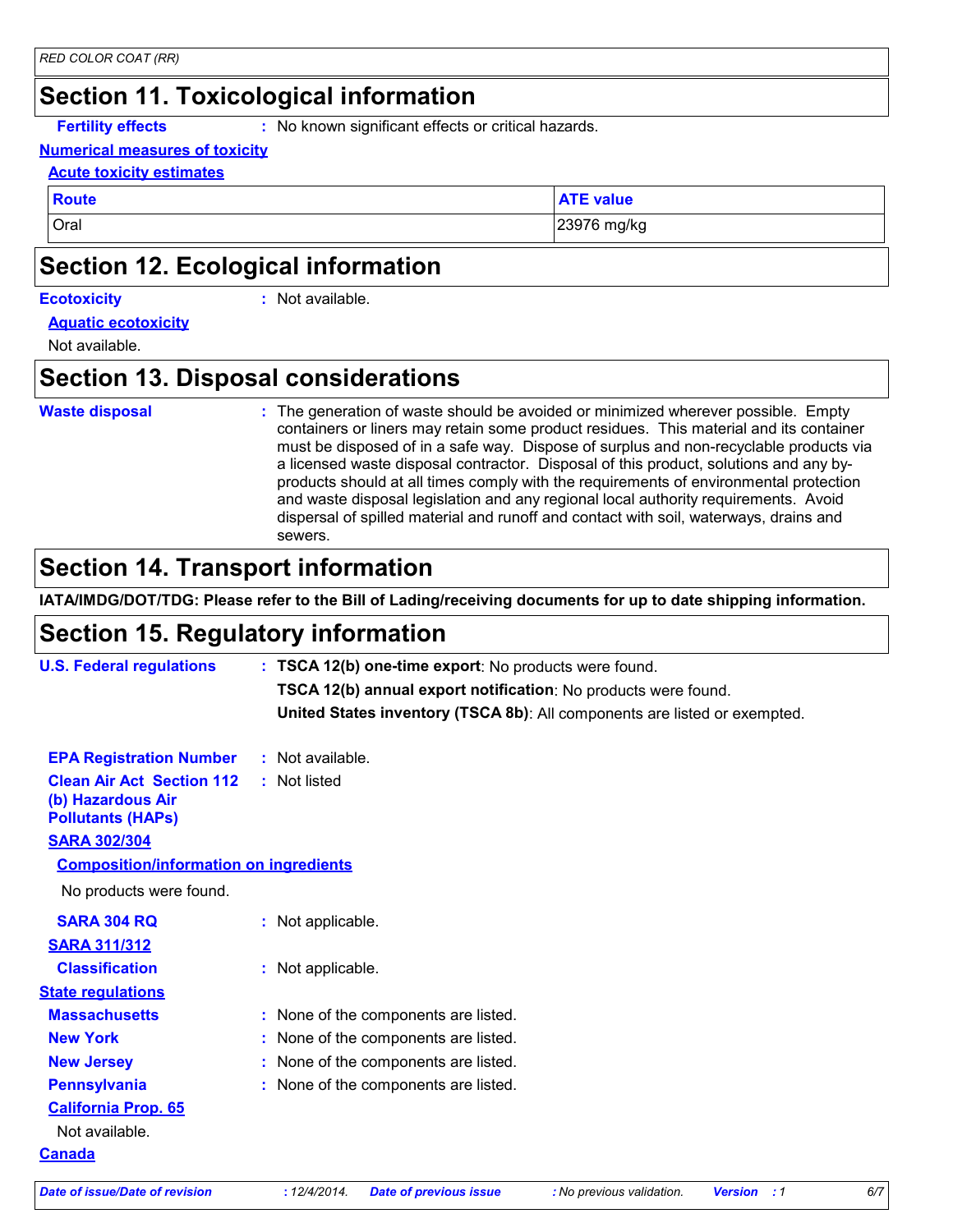#### **Section 11. Toxicological information**

**Fertility effects :** No known significant effects or critical hazards.

#### **Numerical measures of toxicity**

#### **Acute toxicity estimates**

**Route ATE** value

Oral 23976 mg/kg

#### **Section 12. Ecological information**

#### **Ecotoxicity :**

: Not available.

#### **Aquatic ecotoxicity**

Not available.

#### **Section 13. Disposal considerations**

#### **Waste disposal :**

The generation of waste should be avoided or minimized wherever possible. Empty containers or liners may retain some product residues. This material and its container must be disposed of in a safe way. Dispose of surplus and non-recyclable products via a licensed waste disposal contractor. Disposal of this product, solutions and any byproducts should at all times comply with the requirements of environmental protection and waste disposal legislation and any regional local authority requirements. Avoid dispersal of spilled material and runoff and contact with soil, waterways, drains and sewers.

#### **Section 14. Transport information**

**IATA/IMDG/DOT/TDG: Please refer to the Bill of Lading/receiving documents for up to date shipping information.**

#### **Section 15. Regulatory information**

| <b>U.S. Federal regulations</b>                                                   | : TSCA 12(b) one-time export: No products were found.                     |
|-----------------------------------------------------------------------------------|---------------------------------------------------------------------------|
|                                                                                   | TSCA 12(b) annual export notification: No products were found.            |
|                                                                                   | United States inventory (TSCA 8b): All components are listed or exempted. |
| <b>EPA Registration Number</b>                                                    | $:$ Not available.                                                        |
| <b>Clean Air Act Section 112</b><br>(b) Hazardous Air<br><b>Pollutants (HAPs)</b> | : Not listed                                                              |
| <b>SARA 302/304</b>                                                               |                                                                           |
| <b>Composition/information on ingredients</b>                                     |                                                                           |
| No products were found.                                                           |                                                                           |
| <b>SARA 304 RQ</b>                                                                | : Not applicable.                                                         |
| <b>SARA 311/312</b>                                                               |                                                                           |
| <b>Classification</b>                                                             | : Not applicable.                                                         |
| <b>State regulations</b>                                                          |                                                                           |
| <b>Massachusetts</b>                                                              | : None of the components are listed.                                      |
| <b>New York</b>                                                                   | : None of the components are listed.                                      |
| <b>New Jersey</b>                                                                 | : None of the components are listed.                                      |
| <b>Pennsylvania</b>                                                               | : None of the components are listed.                                      |
| <b>California Prop. 65</b>                                                        |                                                                           |
| Not available.                                                                    |                                                                           |
| <b>Canada</b>                                                                     |                                                                           |
|                                                                                   |                                                                           |